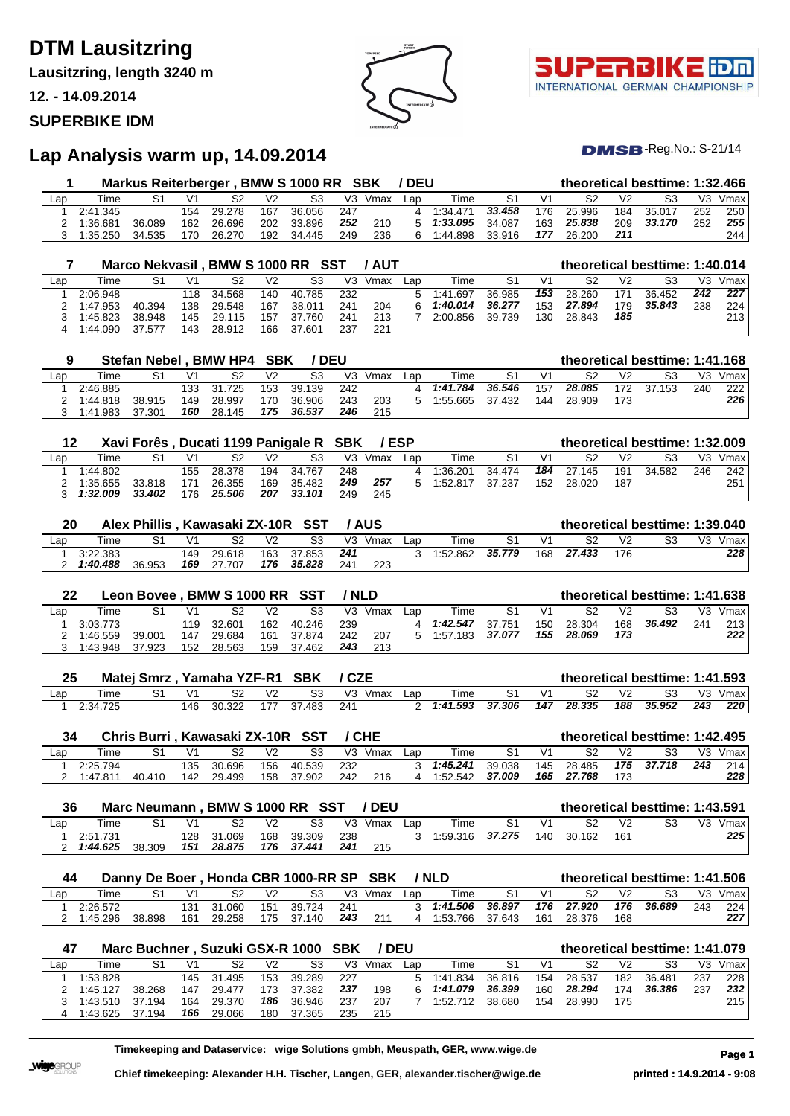## **DTM Lausitzring**

**Lausitzring, length 3240 m**

**12. - 14.09.2014**

### **SUPERBIKE IDM**



T. INTERNATIONAL GERMAN CHAMPIONSHIP

 $DMSB$ -Reg.No.: S-21/14

## **Lap Analysis warm up, 14.09.2014**

|     |          | Markus Reiterberger, BMW S 1000 RR SBK |                |            |                |        |       |         | / DEU |                    |        |                |        |                | theoretical besttime: 1:32.466 |     |         |
|-----|----------|----------------------------------------|----------------|------------|----------------|--------|-------|---------|-------|--------------------|--------|----------------|--------|----------------|--------------------------------|-----|---------|
| Lap | Time     |                                        | V <sub>1</sub> | S2         | V <sub>2</sub> | S3     |       | V3 Vmax | Lap   | Time               | S1     | V <sub>1</sub> | S2     | V <sub>2</sub> | S3                             |     | V3 Vmax |
|     | 2:41.345 |                                        |                | 154 29.278 | 167            | 36.056 | - 247 |         | 4     | 1:34.471           | 33.458 | 176            | 25.996 | 184            | 35.017                         | 252 | 250     |
|     | 1:36.681 | 36.089                                 |                | 162 26.696 | 202            | 33.896 | 252   | 210     |       | $5 \quad 1:33.095$ | 34.087 | 163            | 25.838 | 209            | 33.170                         | 252 | 255     |
|     | 1:35.250 | 34.535                                 | 170            | 26.270     | 192            | 34.445 | 249   | 236     | 6.    | 1:44.898           | 33.916 | 177            | 26.200 | 211            |                                |     | 244     |

|     |          |        |                | Marco Nekvasil, BMW S 1000 RR SST |     |        |     | <b>/ AUT</b> |     |          |        |     | theoretical besttime: 1:40.014 |                |        |                |      |
|-----|----------|--------|----------------|-----------------------------------|-----|--------|-----|--------------|-----|----------|--------|-----|--------------------------------|----------------|--------|----------------|------|
| Lap | Time     | S1     | V <sub>1</sub> | S2                                | V2  | S3     | V3  | Vmax         | Lap | Time     | S1     | V1  | S2                             | V <sub>2</sub> | S3     | V <sub>3</sub> | Vmax |
|     | 2:06.948 |        |                | 118 34.568                        | 140 | 40.785 | 232 |              | 5   | 1:41.697 | 36.985 | 153 | 28.260                         | 171            | 36.452 | 242            | 227  |
|     | 1:47.953 | 40.394 | 138            | 29.548                            | 167 | 38.011 | 241 | 204          |     | 1:40.014 | 36.277 | 153 | 27.894                         | 179            | 35.843 | 238            | 224  |
|     | 1:45.823 | 38.948 | 145            | 29.115                            | 157 | 37.760 | 241 | 213          |     | 2:00.856 | 39.739 | 130 | 28.843                         | 185            |        |                | 213  |
|     | 1:44.090 | 37.577 | 143            | 28.912                            | 166 | 37.601 | 237 | 221          |     |          |        |     |                                |                |        |                |      |

|     |          |        |                | Stefan Nebel, BMW HP4 | SBK | ' DEU  |     |      |     |          |        |                |        |     | theoretical besttime: 1:41.168 |                |      |
|-----|----------|--------|----------------|-----------------------|-----|--------|-----|------|-----|----------|--------|----------------|--------|-----|--------------------------------|----------------|------|
| Lap | Time     | S1     | V <sub>1</sub> | S2                    | V2  | S3     | V3  | Vmax | Lar | Time     | S1     | V <sub>1</sub> | S2     | V2  | S3                             | V <sub>3</sub> | Vmax |
|     | 2:46.885 |        |                | 133 31.725            | 153 | 39.139 | 242 |      |     | 1:41.784 | 36.546 | 157            | 28.085 | 172 | 37.153                         | 240            | 222  |
|     | 1:44.818 | 38.915 | 149            | 28.997                | 170 | 36.906 | 243 | 203  |     | 1:55.665 | 37.432 | 144            | 28.909 | 173 |                                |                | 226  |
|     | 1:41.983 | 37.301 | 160            | 28.145                | 175 | 36.537 | 246 | 215  |     |          |        |                |        |     |                                |                |      |

|     |          | Xavi Forês, Ducati 1199 Panigale R SBK |                |        |                |        |                | /ESP |     |          |        |                |        |                | theoretical besttime: 1:32.009 |     |      |
|-----|----------|----------------------------------------|----------------|--------|----------------|--------|----------------|------|-----|----------|--------|----------------|--------|----------------|--------------------------------|-----|------|
| Lap | Time     | S1                                     | V <sub>1</sub> | S2     | V <sub>2</sub> | S3     | V <sub>3</sub> | Vmax | Lar | Time     | S1     | V <sub>1</sub> | S2     | V <sub>2</sub> | S3                             | V3. | Vmax |
|     | 1:44.802 |                                        | 155            | 28.378 | 194            | 34.767 | 248            |      |     | 1:36.201 | 34.474 | 184            | 27.145 | 191            | 34.582                         | 246 | 242  |
|     | 1:35.655 | 33.818                                 | 171            | 26.355 | 169            | 35.482 | 249            | 257  |     | 1:52.817 | 37.237 | 152            | 28.020 | 187            |                                |     | 251  |
|     | 1:32.009 | 33.402                                 | 176            | 25.506 | 207            | 33.101 | 249            | 245  |     |          |        |                |        |                |                                |     |      |

| 20  |          | Alex Phillis, Kawasaki ZX-10R SST |     |        |     |        |     | ' AUS |     |            |        |     |        |                | theoretical besttime: 1:39.040 |
|-----|----------|-----------------------------------|-----|--------|-----|--------|-----|-------|-----|------------|--------|-----|--------|----------------|--------------------------------|
| Lap | Time     |                                   | ۷1  | S2     | V2  | S3     | V3  | Vmax  | _an | $\tau$ ime |        | V1  |        | V <sub>2</sub> | V3<br>Vmax                     |
|     | 3:22.383 |                                   | 149 | 29.618 | 163 | 37.853 | 241 |       |     | 1:52.862   | 35.779 | 168 | 27.433 | 176            | 228                            |
|     | 1:40.488 | 36.953                            | 169 | 27.707 | 176 | 35.828 | 241 | 223   |     |            |        |     |        |                |                                |

| 22  |          | Leon Bovee, BMW S 1000 RR SST |            |        |                |                |     | / NLD |     |          |        |                | theoretical besttime: 1:41.638 |                |        |     |      |
|-----|----------|-------------------------------|------------|--------|----------------|----------------|-----|-------|-----|----------|--------|----------------|--------------------------------|----------------|--------|-----|------|
| Lap | Time     |                               | $\sqrt{1}$ | S2     | V <sub>2</sub> | S <sub>3</sub> | V3  | Vmax  | Lap | Time     | S1     | V <sub>1</sub> | S2                             | V <sub>2</sub> | S3     | V3  | Vmax |
|     | 3:03.773 |                               | 119        | 32.601 | 162            | 40.246         | 239 |       |     | 1:42.547 | 37.751 | 150            | 28.304                         | 168            | 36.492 | 241 | 213  |
|     | 1:46.559 | 39.001                        | 147        | 29.684 |                | 161 37.874     | 242 | 207   | 5.  | 1:57.183 | 37.077 | 155            | 28.069                         | 173            |        |     | 222  |
|     | 1:43.948 | 37.923                        | 152        | 28.563 | 159            | 37.462         | 243 | 213   |     |          |        |                |                                |                |        |     |      |

| ኅር<br>2J |          | <b>Matei Smrz</b> |    | Yamaha YZF-R1 |                | <b>SBK</b> |            |     |          |        |     | theoretical besttime: 1:41.593 |        |        |     |      |
|----------|----------|-------------------|----|---------------|----------------|------------|------------|-----|----------|--------|-----|--------------------------------|--------|--------|-----|------|
| Lap      | Time     |                   |    | ິ             | V <sub>2</sub> |            | V3<br>Vmax | _an | Time     |        | ۷ŕ  |                                | $\vee$ |        |     | Vmax |
|          | 2:34.725 |                   | 46 | 30.322        |                | .483       | 241        |     | 1:41.593 | 37.306 | 147 | 28.335                         | 188    | 35.952 | 243 | 220  |

|     |          | Chris Burri, Kawasaki ZX-10R SST / CHE |            |        |                |        |                |      |     |          |        |     | theoretical besttime: 1:42.495 |                |            |     |      |
|-----|----------|----------------------------------------|------------|--------|----------------|--------|----------------|------|-----|----------|--------|-----|--------------------------------|----------------|------------|-----|------|
| Lap | Time     |                                        | $\sqrt{1}$ | S2     | V <sub>2</sub> | S3     | V <sub>3</sub> | Vmax | Lap | Time     |        | V1  | S2                             | V <sub>2</sub> | S3         | V3. | Vmax |
|     | 2:25.794 |                                        | 135        | 30.696 | 156            | 40.539 | 232            |      |     | 1:45.241 | 39.038 | 145 | 28.485                         |                | 175 37.718 | 243 | 214  |
|     | 1:47.811 | 40.410                                 | 142        | 29.499 | 158            | 37.902 | 242            | 216. |     | 1:52.542 | 37.009 | 165 | 27.768                         | 173            |            |     | 228  |

| 36  |          | <b>Marc Neumann</b> |                |        |     | , BMW S 1000 RR SST |     | <b>DEU</b> |     |          |        |     |        |     | theoretical besttime: 1:43.591 |
|-----|----------|---------------------|----------------|--------|-----|---------------------|-----|------------|-----|----------|--------|-----|--------|-----|--------------------------------|
| Lap | Time     |                     | V <sub>1</sub> | S2     |     | S3                  | V3  | Vmax       | Lap | Гіmе     |        | V1  | S2     | V2  | V3<br>Vmax                     |
|     | 2:51.731 |                     | 128            | 31.069 | 168 | 39.309              | 238 |            |     | 1:59.316 | 37.275 | 140 | 30.162 | 161 | 225                            |
|     | 1:44.625 | 38.309              | 151            | 28.875 | 176 | 37.441              | 241 | 215        |     |          |        |     |        |     |                                |

| 44  |          |        |     |            |                | Danny De Boer, Honda CBR 1000-RR SP SBK |       |                  |     | / NLD      |        |     | theoretical besttime: 1:41.506 |            |        |     |      |
|-----|----------|--------|-----|------------|----------------|-----------------------------------------|-------|------------------|-----|------------|--------|-----|--------------------------------|------------|--------|-----|------|
| Lap | Time     |        |     |            | V <sub>2</sub> | S3                                      | V3    | Vmax             | Lap | Time       |        | ۷1  |                                | $\sqrt{2}$ |        | V3  | Vmax |
|     | 2:26.572 |        |     | 131 31.060 |                | 151 39.724 .                            | - 241 |                  |     | 3 1:41.506 | 36.897 |     | 176 27.920                     | 176        | 36.689 | 243 | 224  |
|     | 1:45.296 | 38.898 | 161 | 29.258     |                | 175 37.140                              | 243   | 211 <sub>1</sub> |     | 1:53.766   | 37.643 | 161 | 28.376                         | 168        |        |     | 227  |

| 47  |          | Marc Buchner, Suzuki GSX-R 1000 SBK |     |            |     |        |     | <b>/DEU</b> |     |          |        |     | theoretical besttime: 1:41.079 |                |        |                |      |
|-----|----------|-------------------------------------|-----|------------|-----|--------|-----|-------------|-----|----------|--------|-----|--------------------------------|----------------|--------|----------------|------|
| Lap | Time     | S1                                  | V1  | S2         | V2  | S3     | V3  | Vmax        | Lap | Time     | S1     | V1  | S2                             | V <sub>2</sub> | S3     | V <sub>3</sub> | Vmax |
|     | 1:53.828 |                                     |     | 145 31.495 | 153 | 39.289 | 227 |             | 5.  | 1:41.834 | 36.816 | 154 | 28.537                         | 182            | 36.481 | 237            | 228  |
|     | 1:45.127 | 38.268                              | 147 | 29.477     | 173 | 37.382 | 237 | 198         |     | 1:41.079 | 36.399 | 160 | 28.294                         | 174            | 36.386 | 237            | 232  |
|     | 1:43.510 | 37.194                              | 164 | 29.370     | 186 | 36.946 | 237 | 207         |     | 1:52.712 | 38.680 | 154 | 28.990                         | 175            |        |                | 215  |
|     | 1:43.625 | 37.194                              | 166 | 29.066     | 180 | 37.365 | 235 | 215         |     |          |        |     |                                |                |        |                |      |

**Timekeeping and Dataservice: \_wige Solutions gmbh, Meuspath, GER, www.wige.de Page 1**